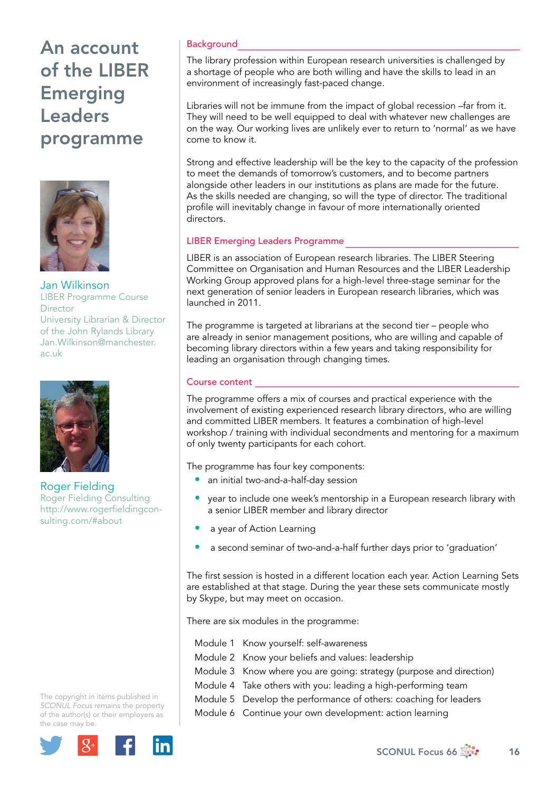# An account of the LIBER Emerging Leaders programme



Jan Wilkinson LIBER Programme Course **Director** University Librarian & Director of the John Rylands Library [Jan.Wilkinson@manchester.](mailto:Jan.Wilkinson@manchester.ac.uk) [ac.uk](mailto:Jan.Wilkinson@manchester.ac.uk)



Roger Fielding Roger Fielding Consulting http://www.rogerfieldingconsulting.com/#about

The copyright in items published in *SCONUL Focus* remains the property of the author(s) or their employers as the case may be.



## **Background**

The library profession within European research universities is challenged by a shortage of people who are both willing and have the skills to lead in an environment of increasingly fast-paced change.

Libraries will not be immune from the impact of global recession –far from it. They will need to be well equipped to deal with whatever new challenges are on the way. Our working lives are unlikely ever to return to 'normal' as we have come to know it.

Strong and effective leadership will be the key to the capacity of the profession to meet the demands of tomorrow's customers, and to become partners alongside other leaders in our institutions as plans are made for the future. As the skills needed are changing, so will the type of director. The traditional profile will inevitably change in favour of more internationally oriented directors.

#### LIBER Emerging Leaders Programme

LIBER is an association of European research libraries. The LIBER Steering Committee on Organisation and Human Resources and the LIBER Leadership Working Group approved plans for a high-level three-stage seminar for the next generation of senior leaders in European research libraries, which was launched in 2011.

The programme is targeted at librarians at the second tier – people who are already in senior management positions, who are willing and capable of becoming library directors within a few years and taking responsibility for leading an organisation through changing times.

## Course content

The programme offers a mix of courses and practical experience with the involvement of existing experienced research library directors, who are willing and committed LIBER members. It features a combination of high-level workshop / training with individual secondments and mentoring for a maximum of only twenty participants for each cohort.

The programme has four key components:

- an initial two-and-a-half-day session
- year to include one week's mentorship in a European research library with a senior LIBER member and library director
- a year of Action Learning
- a second seminar of two-and-a-half further days prior to 'graduation'

The first session is hosted in a different location each year. Action Learning Sets are established at that stage. During the year these sets communicate mostly by Skype, but may meet on occasion.

There are six modules in the programme:

- Module 1 Know yourself: self-awareness
- Module 2 Know your beliefs and values: leadership
- Module 3 Know where you are going: strategy (purpose and direction)
- Module 4 Take others with you: leading a high-performing team
- Module 5 Develop the performance of others: coaching for leaders
- Module 6 Continue your own development: action learning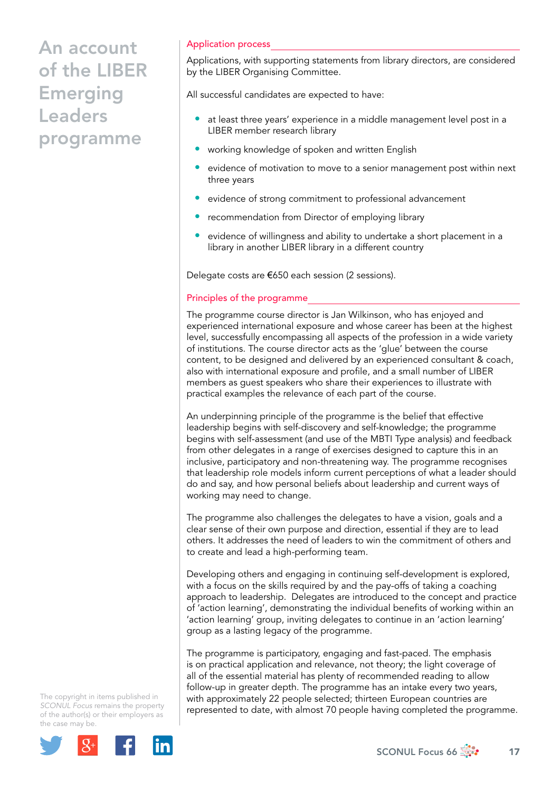# An account of the LIBER Emerging Leaders programme

#### Application process

Applications, with supporting statements from library directors, are considered by the LIBER Organising Committee.

All successful candidates are expected to have:

- at least three years' experience in a middle management level post in a LIBER member research library
- working knowledge of spoken and written English
- evidence of motivation to move to a senior management post within next three years
- evidence of strong commitment to professional advancement
- recommendation from Director of employing library
- evidence of willingness and ability to undertake a short placement in a library in another LIBER library in a different country

Delegate costs are €650 each session (2 sessions).

#### Principles of the programme

The programme course director is Jan Wilkinson, who has enjoyed and experienced international exposure and whose career has been at the highest level, successfully encompassing all aspects of the profession in a wide variety of institutions. The course director acts as the 'glue' between the course content, to be designed and delivered by an experienced consultant & coach, also with international exposure and profile, and a small number of LIBER members as guest speakers who share their experiences to illustrate with practical examples the relevance of each part of the course.

An underpinning principle of the programme is the belief that effective leadership begins with self-discovery and self-knowledge; the programme begins with self-assessment (and use of the MBTI Type analysis) and feedback from other delegates in a range of exercises designed to capture this in an inclusive, participatory and non-threatening way. The programme recognises that leadership role models inform current perceptions of what a leader should do and say, and how personal beliefs about leadership and current ways of working may need to change.

The programme also challenges the delegates to have a vision, goals and a clear sense of their own purpose and direction, essential if they are to lead others. It addresses the need of leaders to win the commitment of others and to create and lead a high-performing team.

Developing others and engaging in continuing self-development is explored, with a focus on the skills required by and the pay-offs of taking a coaching approach to leadership. Delegates are introduced to the concept and practice of 'action learning', demonstrating the individual benefits of working within an 'action learning' group, inviting delegates to continue in an 'action learning' group as a lasting legacy of the programme.

The programme is participatory, engaging and fast-paced. The emphasis is on practical application and relevance, not theory; the light coverage of all of the essential material has plenty of recommended reading to allow follow-up in greater depth. The programme has an intake every two years, with approximately 22 people selected; thirteen European countries are represented to date, with almost 70 people having completed the programme.

The copyright in items published in *SCONUL Focus* remains the property of the author(s) or their employers as the case may be.



SCONUL Focus 66  $\frac{1}{200}$  17